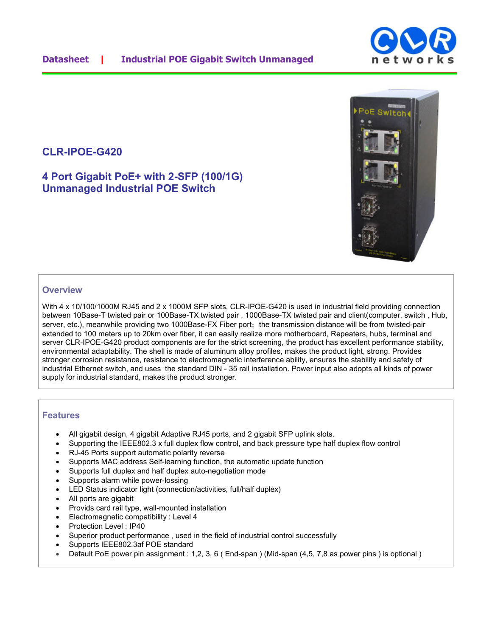## **CLR-IPOE-G420**

**4 Port Gigabit PoE+ with 2-SFP (100/1G) Unmanaged Industrial POE Switch** 

### **Overview**

With 4 x 10/100/1000M RJ45 and 2 x 1000M SFP slots, CLR-IPOE-G420 is used in industrial field providing connection between 10Base-T twisted pair or 100Base-TX twisted pair , 1000Base-TX twisted pair and client(computer, switch , Hub, server, etc.), meanwhile providing two 1000Base-FX Fiber port; the transmission distance will be from twisted-pair extended to 100 meters up to 20km over fiber, it can easily realize more motherboard, Repeaters, hubs, terminal and server CLR-IPOE-G420 product components are for the strict screening, the product has excellent performance stability, environmental adaptability. The shell is made of aluminum alloy profiles, makes the product light, strong. Provides stronger corrosion resistance, resistance to electromagnetic interference ability, ensures the stability and safety of industrial Ethernet switch, and uses the standard DIN - 35 rail installation. Power input also adopts all kinds of power supply for industrial standard, makes the product stronger.

#### **Features**

- All gigabit design, 4 gigabit Adaptive RJ45 ports, and 2 gigabit SFP uplink slots.
- Supporting the IEEE802.3 x full duplex flow control, and back pressure type half duplex flow control
- RJ-45 Ports support automatic polarity reverse
- Supports MAC address Self-learning function, the automatic update function
- Supports full duplex and half duplex auto-negotiation mode
- Supports alarm while power-lossing
- LED Status indicator light (connection/activities, full/half duplex)
- All ports are gigabit
- Provids card rail type, wall-mounted installation
- Electromagnetic compatibility : Level 4
- Protection Level : IP40
- Superior product performance, used in the field of industrial control successfully
- Supports IEEE802.3af POE standard
- Default PoE power pin assignment : 1,2, 3, 6 ( End-span ) (Mid-span (4,5, 7,8 as power pins ) is optional )



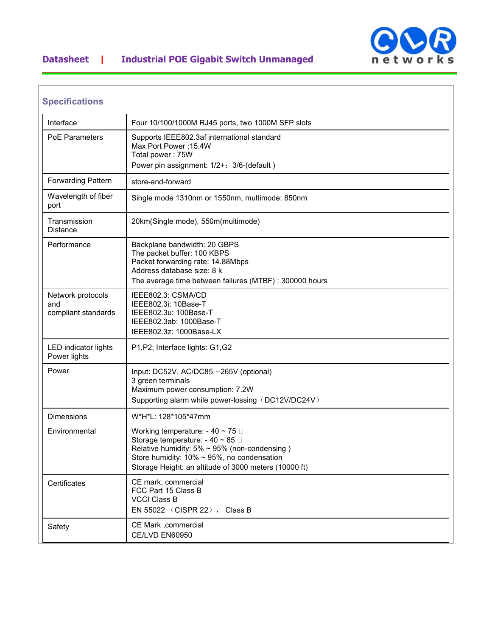

# **Datasheet | Industrial POE Gigabit Switch Unmanaged**

| <b>Specifications</b>                           |                                                                                                                                                                                                                                                   |
|-------------------------------------------------|---------------------------------------------------------------------------------------------------------------------------------------------------------------------------------------------------------------------------------------------------|
| Interface                                       | Four 10/100/1000M RJ45 ports, two 1000M SFP slots                                                                                                                                                                                                 |
| <b>PoE Parameters</b>                           | Supports IEEE802.3af international standard<br>Max Port Power: 15.4W<br>Total power: 75W<br>Power pin assignment: 1/2+; 3/6-(default)                                                                                                             |
| <b>Forwarding Pattern</b>                       | store-and-forward                                                                                                                                                                                                                                 |
| Wavelength of fiber<br>port                     | Single mode 1310nm or 1550nm, multimode: 850nm                                                                                                                                                                                                    |
| Transmission<br><b>Distance</b>                 | 20km(Single mode), 550m(multimode)                                                                                                                                                                                                                |
| Performance                                     | Backplane bandwidth: 20 GBPS<br>The packet buffer: 100 KBPS<br>Packet forwarding rate: 14.88Mbps<br>Address database size: 8 k<br>The average time between failures (MTBF) : 300000 hours                                                         |
| Network protocols<br>and<br>compliant standards | IEEE802.3: CSMA/CD<br>IEEE802.3i: 10Base-T<br>IEEE802.3u: 100Base-T<br>IEEE802.3ab: 1000Base-T<br>IEEE802.3z: 1000Base-LX                                                                                                                         |
| <b>LED</b> indicator lights<br>Power lights     | P1, P2; Interface lights: G1, G2                                                                                                                                                                                                                  |
| Power                                           | Input: $DC52V$ , $AC/DC85~265V$ (optional)<br>3 green terminals<br>Maximum power consumption: 7.2W<br>Supporting alarm while power-lossing (DC12V/DC24V)                                                                                          |
| <b>Dimensions</b>                               | W*H*L: 128*105*47mm                                                                                                                                                                                                                               |
| Environmental                                   | Working temperature: - 40 ~ 75 $\Box$<br>Storage temperature: $-40 \sim 85$<br>Relative humidity: $5\% \sim 95\%$ (non-condensing)<br>Store humidity: $10\% \sim 95\%$ , no condensation<br>Storage Height: an altitude of 3000 meters (10000 ft) |
| Certificates                                    | CE mark, commercial<br>FCC Part 15 Class B<br><b>VCCI Class B</b><br>EN 55022 (CISPR 22), Class B                                                                                                                                                 |
| Safety                                          | CE Mark ,commercial<br>CE/LVD EN60950                                                                                                                                                                                                             |